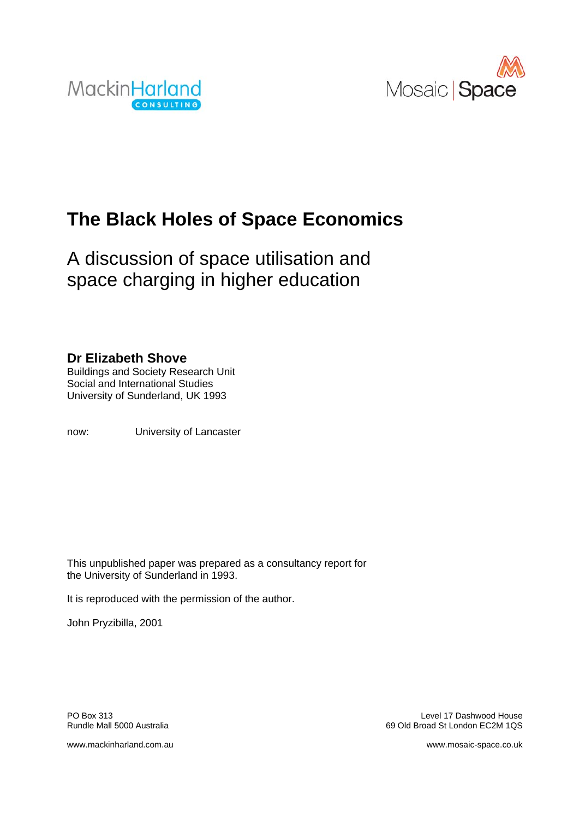



# **The Black Holes of Space Economics**

A discussion of space utilisation and space charging in higher education

## **Dr Elizabeth Shove**

Buildings and Society Research Unit Social and International Studies University of Sunderland, UK 1993

now: University of Lancaster

This unpublished paper was prepared as a consultancy report for the University of Sunderland in 1993.

It is reproduced with the permission of the author.

John Pryzibilla, 2001

PO Box 313 Level 17 Dashwood House Rundle Mall 5000 Australia 69 Old Broad St London EC2M 1QS

www.mackinharland.com.au www.mosaic-space.co.uk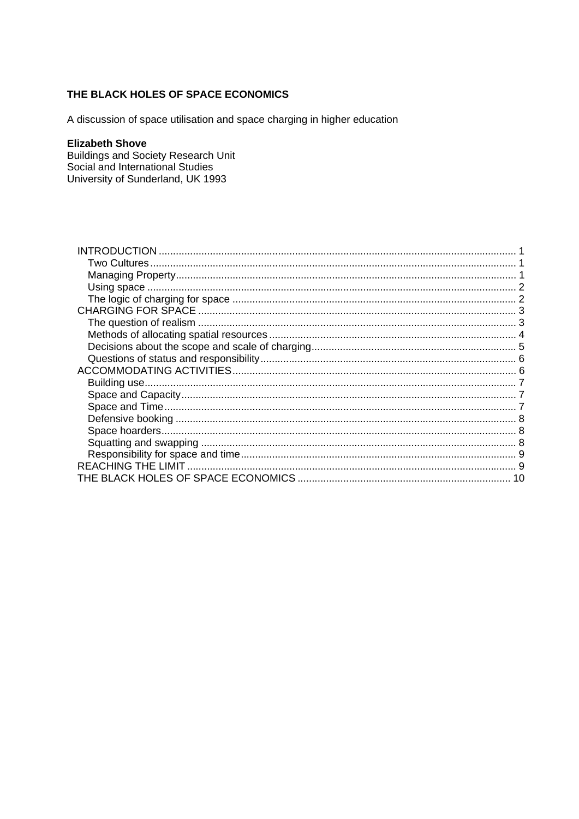### THE BLACK HOLES OF SPACE ECONOMICS

A discussion of space utilisation and space charging in higher education

#### **Elizabeth Shove**

**Buildings and Society Research Unit<br>Social and International Studies** University of Sunderland, UK 1993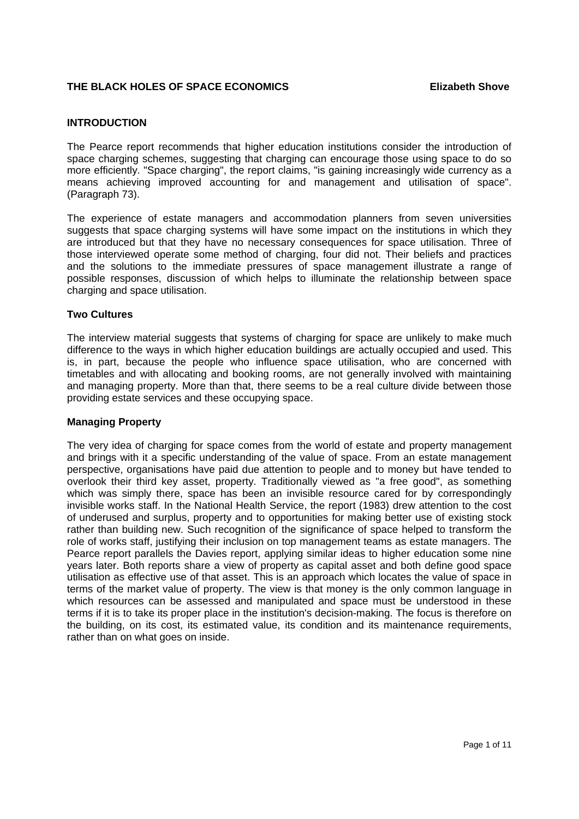#### **THE BLACK HOLES OF SPACE ECONOMICS Elizabeth Shove**

#### **INTRODUCTION**

The Pearce report recommends that higher education institutions consider the introduction of space charging schemes, suggesting that charging can encourage those using space to do so more efficiently. "Space charging", the report claims, "is gaining increasingly wide currency as a means achieving improved accounting for and management and utilisation of space". (Paragraph 73).

The experience of estate managers and accommodation planners from seven universities suggests that space charging systems will have some impact on the institutions in which they are introduced but that they have no necessary consequences for space utilisation. Three of those interviewed operate some method of charging, four did not. Their beliefs and practices and the solutions to the immediate pressures of space management illustrate a range of possible responses, discussion of which helps to illuminate the relationship between space charging and space utilisation.

#### **Two Cultures**

The interview material suggests that systems of charging for space are unlikely to make much difference to the ways in which higher education buildings are actually occupied and used. This is, in part, because the people who influence space utilisation, who are concerned with timetables and with allocating and booking rooms, are not generally involved with maintaining and managing property. More than that, there seems to be a real culture divide between those providing estate services and these occupying space.

#### **Managing Property**

The very idea of charging for space comes from the world of estate and property management and brings with it a specific understanding of the value of space. From an estate management perspective, organisations have paid due attention to people and to money but have tended to overlook their third key asset, property. Traditionally viewed as "a free good", as something which was simply there, space has been an invisible resource cared for by correspondingly invisible works staff. In the National Health Service, the report (1983) drew attention to the cost of underused and surplus, property and to opportunities for making better use of existing stock rather than building new. Such recognition of the significance of space helped to transform the role of works staff, justifying their inclusion on top management teams as estate managers. The Pearce report parallels the Davies report, applying similar ideas to higher education some nine years later. Both reports share a view of property as capital asset and both define good space utilisation as effective use of that asset. This is an approach which locates the value of space in terms of the market value of property. The view is that money is the only common language in which resources can be assessed and manipulated and space must be understood in these terms if it is to take its proper place in the institution's decision-making. The focus is therefore on the building, on its cost, its estimated value, its condition and its maintenance requirements, rather than on what goes on inside.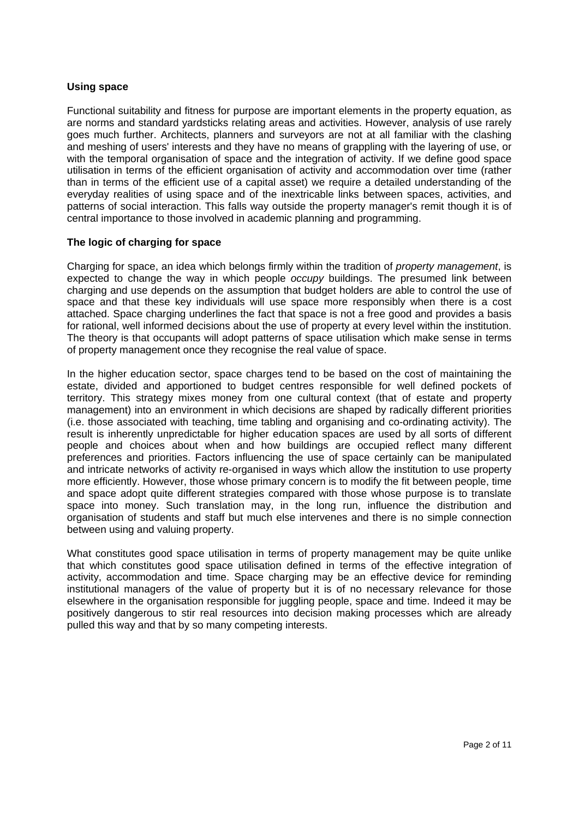#### **Using space**

Functional suitability and fitness for purpose are important elements in the property equation, as are norms and standard yardsticks relating areas and activities. However, analysis of use rarely goes much further. Architects, planners and surveyors are not at all familiar with the clashing and meshing of users' interests and they have no means of grappling with the layering of use, or with the temporal organisation of space and the integration of activity. If we define good space utilisation in terms of the efficient organisation of activity and accommodation over time (rather than in terms of the efficient use of a capital asset) we require a detailed understanding of the everyday realities of using space and of the inextricable links between spaces, activities, and patterns of social interaction. This falls way outside the property manager's remit though it is of central importance to those involved in academic planning and programming.

#### **The logic of charging for space**

Charging for space, an idea which belongs firmly within the tradition of *property management*, is expected to change the way in which people *occupy* buildings. The presumed link between charging and use depends on the assumption that budget holders are able to control the use of space and that these key individuals will use space more responsibly when there is a cost attached. Space charging underlines the fact that space is not a free good and provides a basis for rational, well informed decisions about the use of property at every level within the institution. The theory is that occupants will adopt patterns of space utilisation which make sense in terms of property management once they recognise the real value of space.

In the higher education sector, space charges tend to be based on the cost of maintaining the estate, divided and apportioned to budget centres responsible for well defined pockets of territory. This strategy mixes money from one cultural context (that of estate and property management) into an environment in which decisions are shaped by radically different priorities (i.e. those associated with teaching, time tabling and organising and co-ordinating activity). The result is inherently unpredictable for higher education spaces are used by all sorts of different people and choices about when and how buildings are occupied reflect many different preferences and priorities. Factors influencing the use of space certainly can be manipulated and intricate networks of activity re-organised in ways which allow the institution to use property more efficiently. However, those whose primary concern is to modify the fit between people, time and space adopt quite different strategies compared with those whose purpose is to translate space into money. Such translation may, in the long run, influence the distribution and organisation of students and staff but much else intervenes and there is no simple connection between using and valuing property.

What constitutes good space utilisation in terms of property management may be quite unlike that which constitutes good space utilisation defined in terms of the effective integration of activity, accommodation and time. Space charging may be an effective device for reminding institutional managers of the value of property but it is of no necessary relevance for those elsewhere in the organisation responsible for juggling people, space and time. Indeed it may be positively dangerous to stir real resources into decision making processes which are already pulled this way and that by so many competing interests.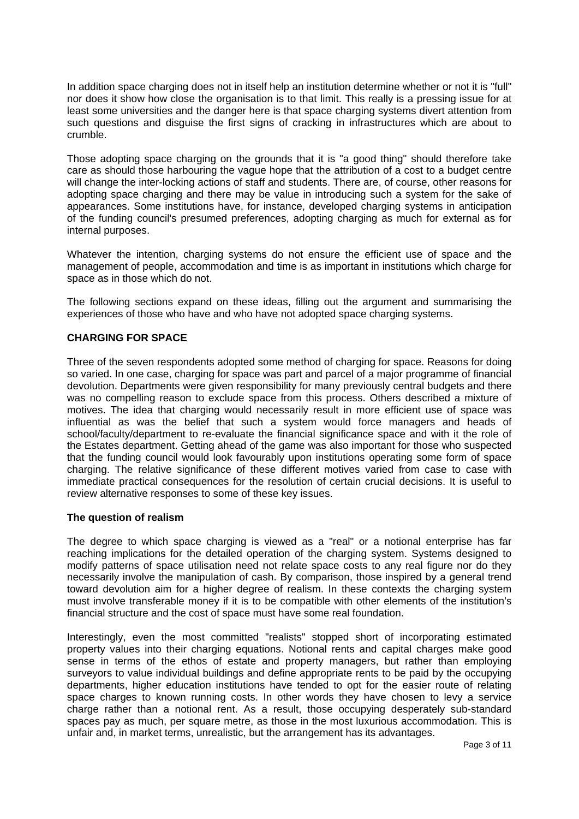In addition space charging does not in itself help an institution determine whether or not it is "full" nor does it show how close the organisation is to that limit. This really is a pressing issue for at least some universities and the danger here is that space charging systems divert attention from such questions and disguise the first signs of cracking in infrastructures which are about to crumble.

Those adopting space charging on the grounds that it is "a good thing" should therefore take care as should those harbouring the vague hope that the attribution of a cost to a budget centre will change the inter-locking actions of staff and students. There are, of course, other reasons for adopting space charging and there may be value in introducing such a system for the sake of appearances. Some institutions have, for instance, developed charging systems in anticipation of the funding council's presumed preferences, adopting charging as much for external as for internal purposes.

Whatever the intention, charging systems do not ensure the efficient use of space and the management of people, accommodation and time is as important in institutions which charge for space as in those which do not.

The following sections expand on these ideas, filling out the argument and summarising the experiences of those who have and who have not adopted space charging systems.

#### **CHARGING FOR SPACE**

Three of the seven respondents adopted some method of charging for space. Reasons for doing so varied. In one case, charging for space was part and parcel of a major programme of financial devolution. Departments were given responsibility for many previously central budgets and there was no compelling reason to exclude space from this process. Others described a mixture of motives. The idea that charging would necessarily result in more efficient use of space was influential as was the belief that such a system would force managers and heads of school/faculty/department to re-evaluate the financial significance space and with it the role of the Estates department. Getting ahead of the game was also important for those who suspected that the funding council would look favourably upon institutions operating some form of space charging. The relative significance of these different motives varied from case to case with immediate practical consequences for the resolution of certain crucial decisions. It is useful to review alternative responses to some of these key issues.

#### **The question of realism**

The degree to which space charging is viewed as a "real" or a notional enterprise has far reaching implications for the detailed operation of the charging system. Systems designed to modify patterns of space utilisation need not relate space costs to any real figure nor do they necessarily involve the manipulation of cash. By comparison, those inspired by a general trend toward devolution aim for a higher degree of realism. In these contexts the charging system must involve transferable money if it is to be compatible with other elements of the institution's financial structure and the cost of space must have some real foundation.

Interestingly, even the most committed "realists" stopped short of incorporating estimated property values into their charging equations. Notional rents and capital charges make good sense in terms of the ethos of estate and property managers, but rather than employing surveyors to value individual buildings and define appropriate rents to be paid by the occupying departments, higher education institutions have tended to opt for the easier route of relating space charges to known running costs. In other words they have chosen to levy a service charge rather than a notional rent. As a result, those occupying desperately sub-standard spaces pay as much, per square metre, as those in the most luxurious accommodation. This is unfair and, in market terms, unrealistic, but the arrangement has its advantages.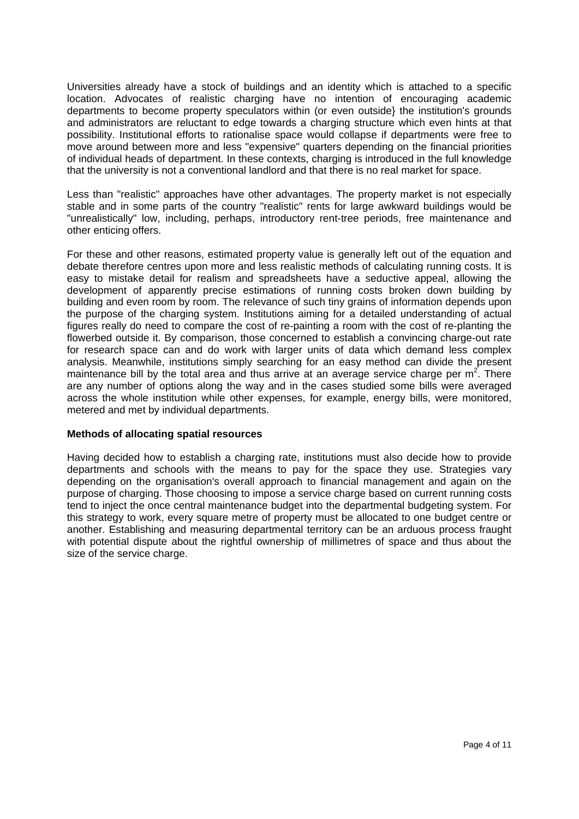Universities already have a stock of buildings and an identity which is attached to a specific location. Advocates of realistic charging have no intention of encouraging academic departments to become property speculators within (or even outside} the institution's grounds and administrators are reluctant to edge towards a charging structure which even hints at that possibility. Institutional efforts to rationalise space would collapse if departments were free to move around between more and less "expensive" quarters depending on the financial priorities of individual heads of department. In these contexts, charging is introduced in the full knowledge that the university is not a conventional landlord and that there is no real market for space.

Less than "realistic" approaches have other advantages. The property market is not especially stable and in some parts of the country "realistic" rents for large awkward buildings would be "unrealistically" low, including, perhaps, introductory rent-tree periods, free maintenance and other enticing offers.

For these and other reasons, estimated property value is generally left out of the equation and debate therefore centres upon more and less realistic methods of calculating running costs. It is easy to mistake detail for realism and spreadsheets have a seductive appeal, allowing the development of apparently precise estimations of running costs broken down building by building and even room by room. The relevance of such tiny grains of information depends upon the purpose of the charging system. Institutions aiming for a detailed understanding of actual figures really do need to compare the cost of re-painting a room with the cost of re-planting the flowerbed outside it. By comparison, those concerned to establish a convincing charge-out rate for research space can and do work with larger units of data which demand less complex analysis. Meanwhile, institutions simply searching for an easy method can divide the present maintenance bill by the total area and thus arrive at an average service charge per  $m^2$ . There are any number of options along the way and in the cases studied some bills were averaged across the whole institution while other expenses, for example, energy bills, were monitored, metered and met by individual departments.

#### **Methods of allocating spatial resources**

Having decided how to establish a charging rate, institutions must also decide how to provide departments and schools with the means to pay for the space they use. Strategies vary depending on the organisation's overall approach to financial management and again on the purpose of charging. Those choosing to impose a service charge based on current running costs tend to inject the once central maintenance budget into the departmental budgeting system. For this strategy to work, every square metre of property must be allocated to one budget centre or another. Establishing and measuring departmental territory can be an arduous process fraught with potential dispute about the rightful ownership of millimetres of space and thus about the size of the service charge.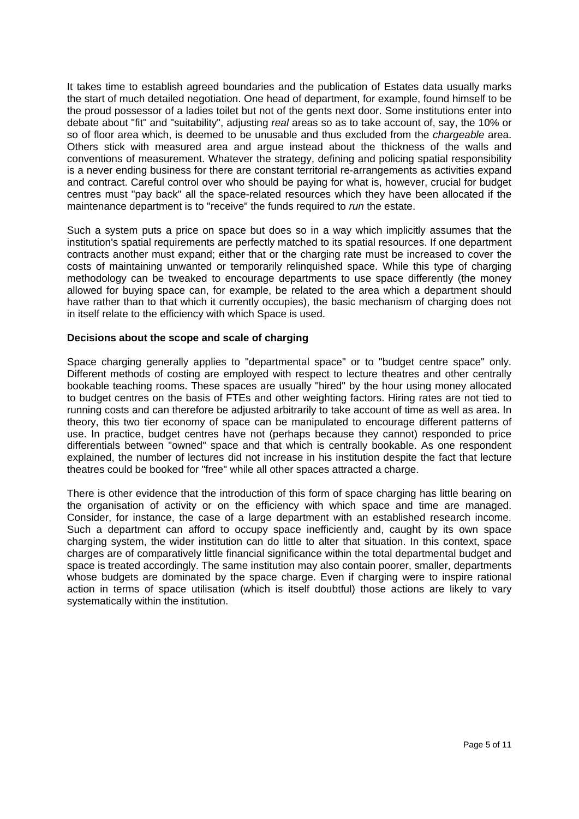It takes time to establish agreed boundaries and the publication of Estates data usually marks the start of much detailed negotiation. One head of department, for example, found himself to be the proud possessor of a ladies toilet but not of the gents next door. Some institutions enter into debate about "fit" and "suitability", adjusting *real* areas so as to take account of, say, the 10% or so of floor area which, is deemed to be unusable and thus excluded from the *chargeable* area. Others stick with measured area and argue instead about the thickness of the walls and conventions of measurement. Whatever the strategy, defining and policing spatial responsibility is a never ending business for there are constant territorial re-arrangements as activities expand and contract. Careful control over who should be paying for what is, however, crucial for budget centres must "pay back" all the space-related resources which they have been allocated if the maintenance department is to "receive" the funds required to *run* the estate.

Such a system puts a price on space but does so in a way which implicitly assumes that the institution's spatial requirements are perfectly matched to its spatial resources. If one department contracts another must expand; either that or the charging rate must be increased to cover the costs of maintaining unwanted or temporarily relinquished space. While this type of charging methodology can be tweaked to encourage departments to use space differently (the money allowed for buying space can, for example, be related to the area which a department should have rather than to that which it currently occupies), the basic mechanism of charging does not in itself relate to the efficiency with which Space is used.

#### **Decisions about the scope and scale of charging**

Space charging generally applies to "departmental space" or to "budget centre space" only. Different methods of costing are employed with respect to lecture theatres and other centrally bookable teaching rooms. These spaces are usually "hired" by the hour using money allocated to budget centres on the basis of FTEs and other weighting factors. Hiring rates are not tied to running costs and can therefore be adjusted arbitrarily to take account of time as well as area. In theory, this two tier economy of space can be manipulated to encourage different patterns of use. In practice, budget centres have not (perhaps because they cannot) responded to price differentials between "owned" space and that which is centrally bookable. As one respondent explained, the number of lectures did not increase in his institution despite the fact that lecture theatres could be booked for "free" while all other spaces attracted a charge.

There is other evidence that the introduction of this form of space charging has little bearing on the organisation of activity or on the efficiency with which space and time are managed. Consider, for instance, the case of a large department with an established research income. Such a department can afford to occupy space inefficiently and, caught by its own space charging system, the wider institution can do little to alter that situation. In this context, space charges are of comparatively little financial significance within the total departmental budget and space is treated accordingly. The same institution may also contain poorer, smaller, departments whose budgets are dominated by the space charge. Even if charging were to inspire rational action in terms of space utilisation (which is itself doubtful) those actions are likely to vary systematically within the institution.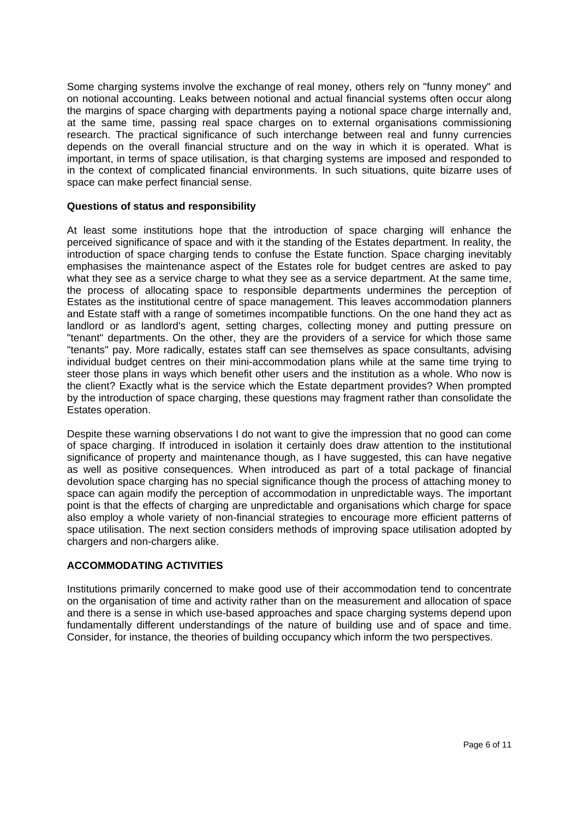Some charging systems involve the exchange of real money, others rely on "funny money" and on notional accounting. Leaks between notional and actual financial systems often occur along the margins of space charging with departments paying a notional space charge internally and, at the same time, passing real space charges on to external organisations commissioning research. The practical significance of such interchange between real and funny currencies depends on the overall financial structure and on the way in which it is operated. What is important, in terms of space utilisation, is that charging systems are imposed and responded to in the context of complicated financial environments. In such situations, quite bizarre uses of space can make perfect financial sense.

#### **Questions of status and responsibility**

At least some institutions hope that the introduction of space charging will enhance the perceived significance of space and with it the standing of the Estates department. In reality, the introduction of space charging tends to confuse the Estate function. Space charging inevitably emphasises the maintenance aspect of the Estates role for budget centres are asked to pay what they see as a service charge to what they see as a service department. At the same time, the process of allocating space to responsible departments undermines the perception of Estates as the institutional centre of space management. This leaves accommodation planners and Estate staff with a range of sometimes incompatible functions. On the one hand they act as landlord or as landlord's agent, setting charges, collecting money and putting pressure on "tenant" departments. On the other, they are the providers of a service for which those same "tenants" pay. More radically, estates staff can see themselves as space consultants, advising individual budget centres on their mini-accommodation plans while at the same time trying to steer those plans in ways which benefit other users and the institution as a whole. Who now is the client? Exactly what is the service which the Estate department provides? When prompted by the introduction of space charging, these questions may fragment rather than consolidate the Estates operation.

Despite these warning observations I do not want to give the impression that no good can come of space charging. If introduced in isolation it certainly does draw attention to the institutional significance of property and maintenance though, as I have suggested, this can have negative as well as positive consequences. When introduced as part of a total package of financial devolution space charging has no special significance though the process of attaching money to space can again modify the perception of accommodation in unpredictable ways. The important point is that the effects of charging are unpredictable and organisations which charge for space also employ a whole variety of non-financial strategies to encourage more efficient patterns of space utilisation. The next section considers methods of improving space utilisation adopted by chargers and non-chargers alike.

#### **ACCOMMODATING ACTIVITIES**

Institutions primarily concerned to make good use of their accommodation tend to concentrate on the organisation of time and activity rather than on the measurement and allocation of space and there is a sense in which use-based approaches and space charging systems depend upon fundamentally different understandings of the nature of building use and of space and time. Consider, for instance, the theories of building occupancy which inform the two perspectives.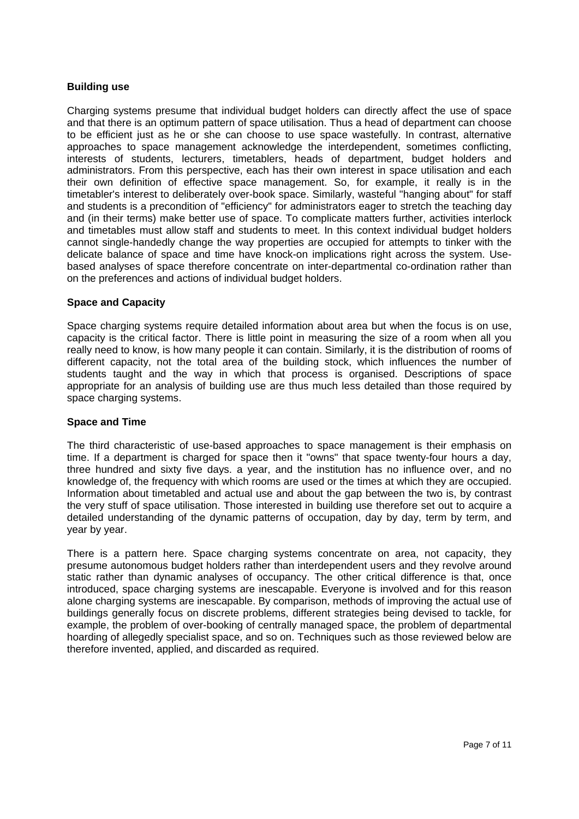#### **Building use**

Charging systems presume that individual budget holders can directly affect the use of space and that there is an optimum pattern of space utilisation. Thus a head of department can choose to be efficient just as he or she can choose to use space wastefully. In contrast, alternative approaches to space management acknowledge the interdependent, sometimes conflicting, interests of students, lecturers, timetablers, heads of department, budget holders and administrators. From this perspective, each has their own interest in space utilisation and each their own definition of effective space management. So, for example, it really is in the timetabler's interest to deliberately over-book space. Similarly, wasteful "hanging about" for staff and students is a precondition of "efficiency" for administrators eager to stretch the teaching day and (in their terms) make better use of space. To complicate matters further, activities interlock and timetables must allow staff and students to meet. In this context individual budget holders cannot single-handedly change the way properties are occupied for attempts to tinker with the delicate balance of space and time have knock-on implications right across the system. Usebased analyses of space therefore concentrate on inter-departmental co-ordination rather than on the preferences and actions of individual budget holders.

#### **Space and Capacity**

Space charging systems require detailed information about area but when the focus is on use, capacity is the critical factor. There is little point in measuring the size of a room when all you really need to know, is how many people it can contain. Similarly, it is the distribution of rooms of different capacity, not the total area of the building stock, which influences the number of students taught and the way in which that process is organised. Descriptions of space appropriate for an analysis of building use are thus much less detailed than those required by space charging systems.

#### **Space and Time**

The third characteristic of use-based approaches to space management is their emphasis on time. If a department is charged for space then it "owns" that space twenty-four hours a day, three hundred and sixty five days. a year, and the institution has no influence over, and no knowledge of, the frequency with which rooms are used or the times at which they are occupied. Information about timetabled and actual use and about the gap between the two is, by contrast the very stuff of space utilisation. Those interested in building use therefore set out to acquire a detailed understanding of the dynamic patterns of occupation, day by day, term by term, and year by year.

There is a pattern here. Space charging systems concentrate on area, not capacity, they presume autonomous budget holders rather than interdependent users and they revolve around static rather than dynamic analyses of occupancy. The other critical difference is that, once introduced, space charging systems are inescapable. Everyone is involved and for this reason alone charging systems are inescapable. By comparison, methods of improving the actual use of buildings generally focus on discrete problems, different strategies being devised to tackle, for example, the problem of over-booking of centrally managed space, the problem of departmental hoarding of allegedly specialist space, and so on. Techniques such as those reviewed below are therefore invented, applied, and discarded as required.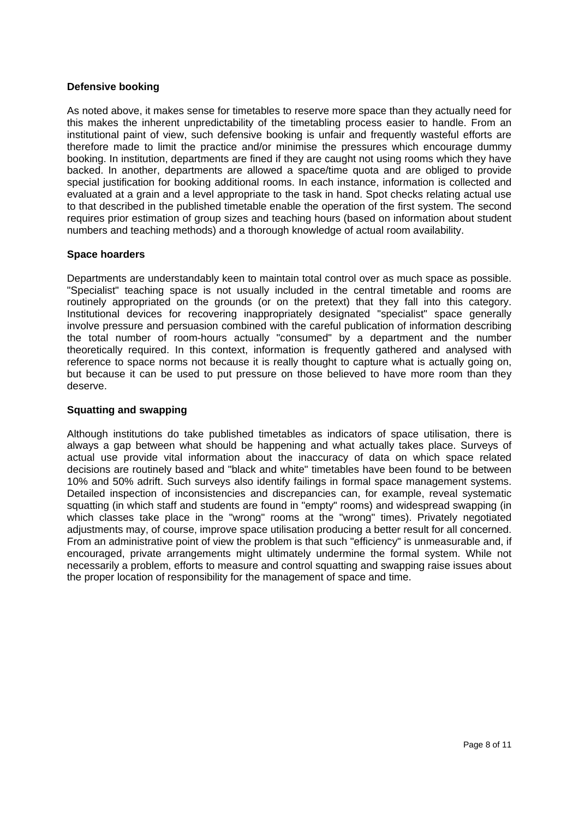#### **Defensive booking**

As noted above, it makes sense for timetables to reserve more space than they actually need for this makes the inherent unpredictability of the timetabling process easier to handle. From an institutional paint of view, such defensive booking is unfair and frequently wasteful efforts are therefore made to limit the practice and/or minimise the pressures which encourage dummy booking. In institution, departments are fined if they are caught not using rooms which they have backed. In another, departments are allowed a space/time quota and are obliged to provide special justification for booking additional rooms. In each instance, information is collected and evaluated at a grain and a level appropriate to the task in hand. Spot checks relating actual use to that described in the published timetable enable the operation of the first system. The second requires prior estimation of group sizes and teaching hours (based on information about student numbers and teaching methods) and a thorough knowledge of actual room availability.

#### **Space hoarders**

Departments are understandably keen to maintain total control over as much space as possible. "Specialist" teaching space is not usually included in the central timetable and rooms are routinely appropriated on the grounds (or on the pretext) that they fall into this category. Institutional devices for recovering inappropriately designated "specialist" space generally involve pressure and persuasion combined with the careful publication of information describing the total number of room-hours actually "consumed" by a department and the number theoretically required. In this context, information is frequently gathered and analysed with reference to space norms not because it is really thought to capture what is actually going on, but because it can be used to put pressure on those believed to have more room than they deserve.

#### **Squatting and swapping**

Although institutions do take published timetables as indicators of space utilisation, there is always a gap between what should be happening and what actually takes place. Surveys of actual use provide vital information about the inaccuracy of data on which space related decisions are routinely based and "black and white" timetables have been found to be between 10% and 50% adrift. Such surveys also identify failings in formal space management systems. Detailed inspection of inconsistencies and discrepancies can, for example, reveal systematic squatting (in which staff and students are found in "empty" rooms) and widespread swapping (in which classes take place in the "wrong" rooms at the "wrong" times). Privately negotiated adjustments may, of course, improve space utilisation producing a better result for all concerned. From an administrative point of view the problem is that such "efficiency" is unmeasurable and, if encouraged, private arrangements might ultimately undermine the formal system. While not necessarily a problem, efforts to measure and control squatting and swapping raise issues about the proper location of responsibility for the management of space and time.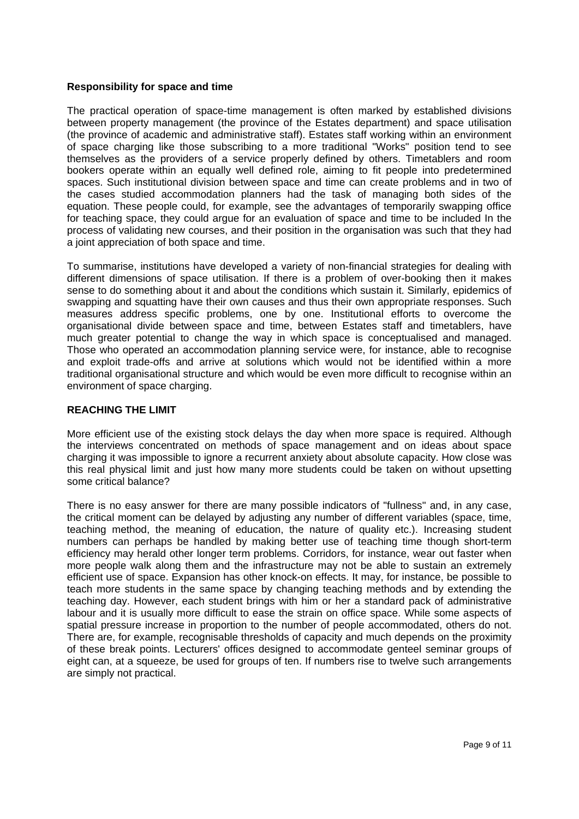#### **Responsibility for space and time**

The practical operation of space-time management is often marked by established divisions between property management (the province of the Estates department) and space utilisation (the province of academic and administrative staff). Estates staff working within an environment of space charging like those subscribing to a more traditional "Works" position tend to see themselves as the providers of a service properly defined by others. Timetablers and room bookers operate within an equally well defined role, aiming to fit people into predetermined spaces. Such institutional division between space and time can create problems and in two of the cases studied accommodation planners had the task of managing both sides of the equation. These people could, for example, see the advantages of temporarily swapping office for teaching space, they could argue for an evaluation of space and time to be included In the process of validating new courses, and their position in the organisation was such that they had a joint appreciation of both space and time.

To summarise, institutions have developed a variety of non-financial strategies for dealing with different dimensions of space utilisation. If there is a problem of over-booking then it makes sense to do something about it and about the conditions which sustain it. Similarly, epidemics of swapping and squatting have their own causes and thus their own appropriate responses. Such measures address specific problems, one by one. Institutional efforts to overcome the organisational divide between space and time, between Estates staff and timetablers, have much greater potential to change the way in which space is conceptualised and managed. Those who operated an accommodation planning service were, for instance, able to recognise and exploit trade-offs and arrive at solutions which would not be identified within a more traditional organisational structure and which would be even more difficult to recognise within an environment of space charging.

#### **REACHING THE LIMIT**

More efficient use of the existing stock delays the day when more space is required. Although the interviews concentrated on methods of space management and on ideas about space charging it was impossible to ignore a recurrent anxiety about absolute capacity. How close was this real physical limit and just how many more students could be taken on without upsetting some critical balance?

There is no easy answer for there are many possible indicators of "fullness" and, in any case, the critical moment can be delayed by adjusting any number of different variables (space, time, teaching method, the meaning of education, the nature of quality etc.). Increasing student numbers can perhaps be handled by making better use of teaching time though short-term efficiency may herald other longer term problems. Corridors, for instance, wear out faster when more people walk along them and the infrastructure may not be able to sustain an extremely efficient use of space. Expansion has other knock-on effects. It may, for instance, be possible to teach more students in the same space by changing teaching methods and by extending the teaching day. However, each student brings with him or her a standard pack of administrative labour and it is usually more difficult to ease the strain on office space. While some aspects of spatial pressure increase in proportion to the number of people accommodated, others do not. There are, for example, recognisable thresholds of capacity and much depends on the proximity of these break points. Lecturers' offices designed to accommodate genteel seminar groups of eight can, at a squeeze, be used for groups of ten. If numbers rise to twelve such arrangements are simply not practical.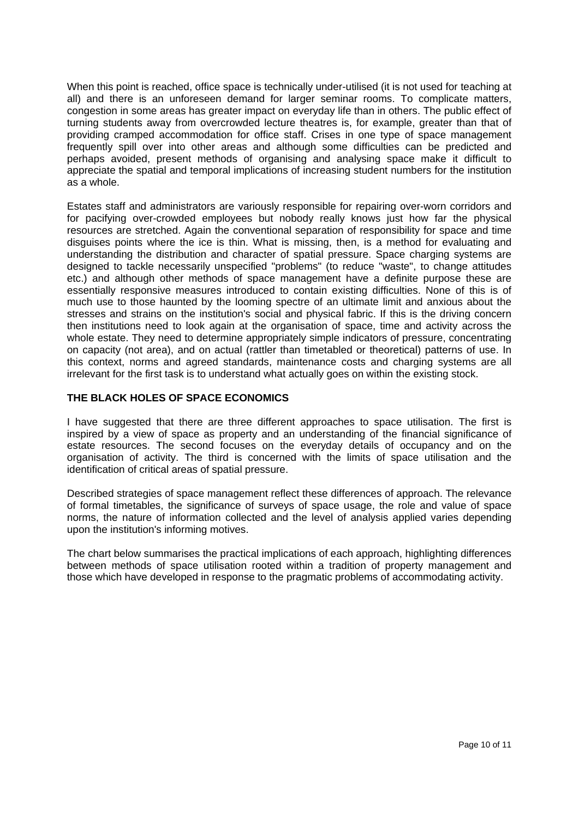When this point is reached, office space is technically under-utilised (it is not used for teaching at all) and there is an unforeseen demand for larger seminar rooms. To complicate matters, congestion in some areas has greater impact on everyday life than in others. The public effect of turning students away from overcrowded lecture theatres is, for example, greater than that of providing cramped accommodation for office staff. Crises in one type of space management frequently spill over into other areas and although some difficulties can be predicted and perhaps avoided, present methods of organising and analysing space make it difficult to appreciate the spatial and temporal implications of increasing student numbers for the institution as a whole.

Estates staff and administrators are variously responsible for repairing over-worn corridors and for pacifying over-crowded employees but nobody really knows just how far the physical resources are stretched. Again the conventional separation of responsibility for space and time disguises points where the ice is thin. What is missing, then, is a method for evaluating and understanding the distribution and character of spatial pressure. Space charging systems are designed to tackle necessarily unspecified "problems" (to reduce "waste", to change attitudes etc.) and although other methods of space management have a definite purpose these are essentially responsive measures introduced to contain existing difficulties. None of this is of much use to those haunted by the looming spectre of an ultimate limit and anxious about the stresses and strains on the institution's social and physical fabric. If this is the driving concern then institutions need to look again at the organisation of space, time and activity across the whole estate. They need to determine appropriately simple indicators of pressure, concentrating on capacity (not area), and on actual (rattler than timetabled or theoretical) patterns of use. In this context, norms and agreed standards, maintenance costs and charging systems are all irrelevant for the first task is to understand what actually goes on within the existing stock.

#### **THE BLACK HOLES OF SPACE ECONOMICS**

I have suggested that there are three different approaches to space utilisation. The first is inspired by a view of space as property and an understanding of the financial significance of estate resources. The second focuses on the everyday details of occupancy and on the organisation of activity. The third is concerned with the limits of space utilisation and the identification of critical areas of spatial pressure.

Described strategies of space management reflect these differences of approach. The relevance of formal timetables, the significance of surveys of space usage, the role and value of space norms, the nature of information collected and the level of analysis applied varies depending upon the institution's informing motives.

The chart below summarises the practical implications of each approach, highlighting differences between methods of space utilisation rooted within a tradition of property management and those which have developed in response to the pragmatic problems of accommodating activity.